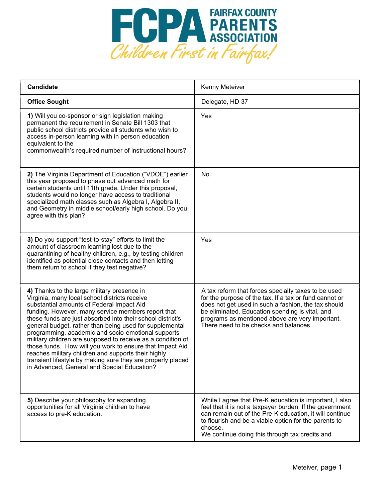

| <b>Candidate</b>                                                                                                                                                                                                                                                                                                                                                                                                                                                                                                                                                                                                                                                               | Kenny Meteiver                                                                                                                                                                                                                                                                                                      |
|--------------------------------------------------------------------------------------------------------------------------------------------------------------------------------------------------------------------------------------------------------------------------------------------------------------------------------------------------------------------------------------------------------------------------------------------------------------------------------------------------------------------------------------------------------------------------------------------------------------------------------------------------------------------------------|---------------------------------------------------------------------------------------------------------------------------------------------------------------------------------------------------------------------------------------------------------------------------------------------------------------------|
| <b>Office Sought</b>                                                                                                                                                                                                                                                                                                                                                                                                                                                                                                                                                                                                                                                           | Delegate, HD 37                                                                                                                                                                                                                                                                                                     |
| 1) Will you co-sponsor or sign legislation making<br>permanent the requirement in Senate Bill 1303 that<br>public school districts provide all students who wish to<br>access in-person learning with in person education<br>equivalent to the<br>commonwealth's required number of instructional hours?                                                                                                                                                                                                                                                                                                                                                                       | Yes                                                                                                                                                                                                                                                                                                                 |
| 2) The Virginia Department of Education ("VDOE") earlier<br>this year proposed to phase out advanced math for<br>certain students until 11th grade. Under this proposal,<br>students would no longer have access to traditional<br>specialized math classes such as Algebra I, Algebra II,<br>and Geometry in middle school/early high school. Do you<br>agree with this plan?                                                                                                                                                                                                                                                                                                 | No                                                                                                                                                                                                                                                                                                                  |
| 3) Do you support "test-to-stay" efforts to limit the<br>amount of classroom learning lost due to the<br>quarantining of healthy children, e.g., by testing children<br>identified as potential close contacts and then letting<br>them return to school if they test negative?                                                                                                                                                                                                                                                                                                                                                                                                | Yes                                                                                                                                                                                                                                                                                                                 |
| 4) Thanks to the large military presence in<br>Virginia, many local school districts receive<br>substantial amounts of Federal Impact Aid<br>funding. However, many service members report that<br>these funds are just absorbed into their school district's<br>general budget, rather than being used for supplemental<br>programming, academic and socio-emotional supports<br>military children are supposed to receive as a condition of<br>those funds. How will you work to ensure that Impact Aid<br>reaches military children and supports their highly<br>transient lifestyle by making sure they are properly placed<br>in Advanced, General and Special Education? | A tax reform that forces specialty taxes to be used<br>for the purpose of the tax. If a tax or fund cannot or<br>does not get used in such a fashion, the tax should<br>be eliminated. Education spending is vital, and<br>programs as mentioned above are very important.<br>There need to be checks and balances. |
| 5) Describe your philosophy for expanding<br>opportunities for all Virginia children to have<br>access to pre-K education.                                                                                                                                                                                                                                                                                                                                                                                                                                                                                                                                                     | While I agree that Pre-K education is important, I also<br>feel that it is not a taxpayer burden. If the government<br>can remain out of the Pre-K education, it will continue<br>to flourish and be a viable option for the parents to<br>choose.<br>We continue doing this through tax credits and                |